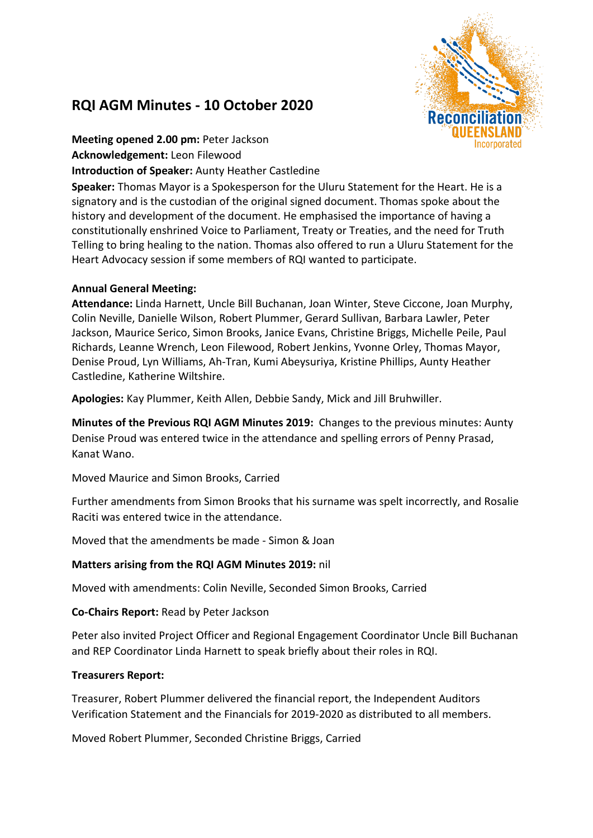# **RQI AGM Minutes - 10 October 2020**



**Meeting opened 2.00 pm:** Peter Jackson **Acknowledgement:** Leon Filewood **Introduction of Speaker:** Aunty Heather Castledine

**Speaker:** Thomas Mayor is a Spokesperson for the Uluru Statement for the Heart. He is a signatory and is the custodian of the original signed document. Thomas spoke about the history and development of the document. He emphasised the importance of having a constitutionally enshrined Voice to Parliament, Treaty or Treaties, and the need for Truth Telling to bring healing to the nation. Thomas also offered to run a Uluru Statement for the Heart Advocacy session if some members of RQI wanted to participate.

## **Annual General Meeting:**

**Attendance:** Linda Harnett, Uncle Bill Buchanan, Joan Winter, Steve Ciccone, Joan Murphy, Colin Neville, Danielle Wilson, Robert Plummer, Gerard Sullivan, Barbara Lawler, Peter Jackson, Maurice Serico, Simon Brooks, Janice Evans, Christine Briggs, Michelle Peile, Paul Richards, Leanne Wrench, Leon Filewood, Robert Jenkins, Yvonne Orley, Thomas Mayor, Denise Proud, Lyn Williams, Ah-Tran, Kumi Abeysuriya, Kristine Phillips, Aunty Heather Castledine, Katherine Wiltshire.

**Apologies:** Kay Plummer, Keith Allen, Debbie Sandy, Mick and Jill Bruhwiller.

**Minutes of the Previous RQI AGM Minutes 2019:** Changes to the previous minutes: Aunty Denise Proud was entered twice in the attendance and spelling errors of Penny Prasad, Kanat Wano.

Moved Maurice and Simon Brooks, Carried

Further amendments from Simon Brooks that his surname was spelt incorrectly, and Rosalie Raciti was entered twice in the attendance.

Moved that the amendments be made - Simon & Joan

## **Matters arising from the RQI AGM Minutes 2019:** nil

Moved with amendments: Colin Neville, Seconded Simon Brooks, Carried

**Co-Chairs Report:** Read by Peter Jackson

Peter also invited Project Officer and Regional Engagement Coordinator Uncle Bill Buchanan and REP Coordinator Linda Harnett to speak briefly about their roles in RQI.

## **Treasurers Report:**

Treasurer, Robert Plummer delivered the financial report, the Independent Auditors Verification Statement and the Financials for 2019-2020 as distributed to all members.

Moved Robert Plummer, Seconded Christine Briggs, Carried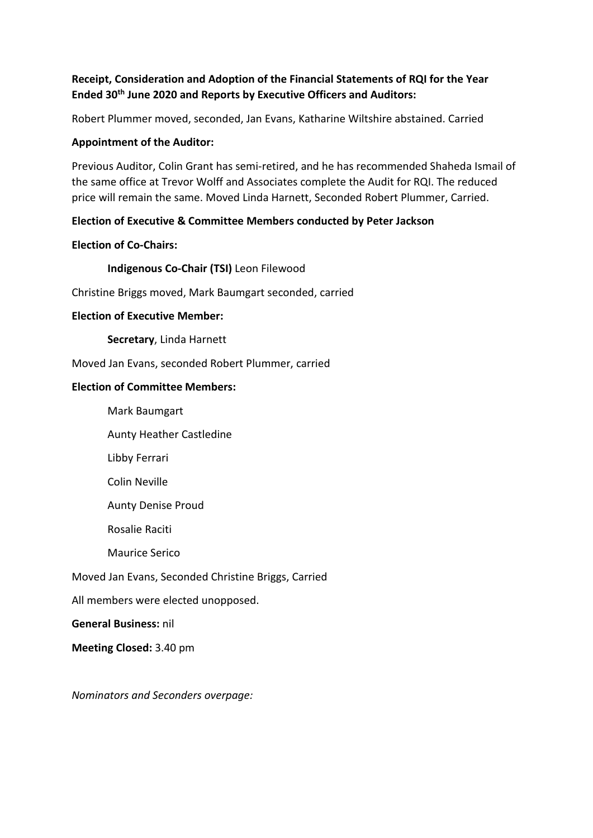## **Receipt, Consideration and Adoption of the Financial Statements of RQI for the Year Ended 30th June 2020 and Reports by Executive Officers and Auditors:**

Robert Plummer moved, seconded, Jan Evans, Katharine Wiltshire abstained. Carried

## **Appointment of the Auditor:**

Previous Auditor, Colin Grant has semi-retired, and he has recommended Shaheda Ismail of the same office at Trevor Wolff and Associates complete the Audit for RQI. The reduced price will remain the same. Moved Linda Harnett, Seconded Robert Plummer, Carried.

## **Election of Executive & Committee Members conducted by Peter Jackson**

## **Election of Co-Chairs:**

**Indigenous Co-Chair (TSI)** Leon Filewood

Christine Briggs moved, Mark Baumgart seconded, carried

## **Election of Executive Member:**

**Secretary**, Linda Harnett

Moved Jan Evans, seconded Robert Plummer, carried

## **Election of Committee Members:**

Mark Baumgart

Aunty Heather Castledine

Libby Ferrari

Colin Neville

Aunty Denise Proud

Rosalie Raciti

Maurice Serico

Moved Jan Evans, Seconded Christine Briggs, Carried

All members were elected unopposed.

**General Business:** nil

**Meeting Closed:** 3.40 pm

*Nominators and Seconders overpage:*